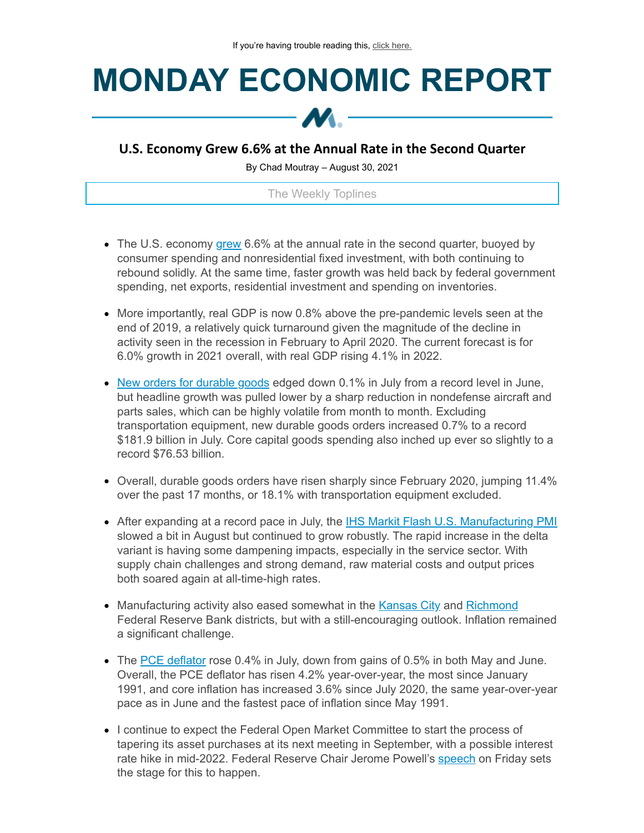## **MONDAY ECONOMIC REPORT**



## **U.S. Economy Grew 6.6% at the Annual Rate in the Second Quarter**

By Chad Moutray – August 30, 2021

The Weekly Toplines

- The U.S. economy [grew](https://click.email.nam.org/?qs=e6902ec692c82c4ab2af8428a8d720ba444a18c276c67fc00e875642c7dc7c20b7316fa810735e5142629cec4b6613ab8808a563c0ee957d) 6.6% at the annual rate in the second quarter, buoyed by consumer spending and nonresidential fixed investment, with both continuing to rebound solidly. At the same time, faster growth was held back by federal government spending, net exports, residential investment and spending on inventories.
- More importantly, real GDP is now 0.8% above the pre-pandemic levels seen at the end of 2019, a relatively quick turnaround given the magnitude of the decline in activity seen in the recession in February to April 2020. The current forecast is for 6.0% growth in 2021 overall, with real GDP rising 4.1% in 2022.
- New orders for [durable](https://click.email.nam.org/?qs=e6902ec692c82c4a34472ee6d4f95462683665b2045fd145dc6c5e43e02c2c42b511af207ea3c4cbbc26b97bec1bd611f9091235db1aac68) goods edged down 0.1% in July from a record level in June, but headline growth was pulled lower by a sharp reduction in nondefense aircraft and parts sales, which can be highly volatile from month to month. Excluding transportation equipment, new durable goods orders increased 0.7% to a record \$181.9 billion in July. Core capital goods spending also inched up ever so slightly to a record \$76.53 billion.
- Overall, durable goods orders have risen sharply since February 2020, jumping 11.4% over the past 17 months, or 18.1% with transportation equipment excluded.
- After expanding at a record pace in July, the IHS Markit Flash U.S. [Manufacturing](https://click.email.nam.org/?qs=e6902ec692c82c4a00f922e79ddd51f74dbc82ee8e909f2afdda91e848b83c4b21d312e74e70a1f4271342d3f05c6a80deec6bd93697193b) PMI slowed a bit in August but continued to grow robustly. The rapid increase in the delta variant is having some dampening impacts, especially in the service sector. With supply chain challenges and strong demand, raw material costs and output prices both soared again at all-time-high rates.
- Manufacturing activity also eased somewhat in the [Kansas](https://click.email.nam.org/?qs=e6902ec692c82c4aa154e5a152d7494c2c3c9b3ce41d1320758b1578440f1a949893e3578966ad60c2d85d76dce13222ac51c7ff1d57aca6) City and [Richmond](https://click.email.nam.org/?qs=e6902ec692c82c4abe15b1400d24477f0bc07d353d4d613723334445178c786207937d17ec664fe8d295cccabe3e9922084d88535ea04633) Federal Reserve Bank districts, but with a still-encouraging outlook. Inflation remained a significant challenge.
- The PCE [deflator](https://click.email.nam.org/?qs=e6902ec692c82c4a13ad76f8fe10a47936f59b3cc8867544bd7660a413d8491caaa1fff73f2faa9add54a9e0ee87b6a920c45d2045dee04f) rose 0.4% in July, down from gains of 0.5% in both May and June. Overall, the PCE deflator has risen 4.2% year-over-year, the most since January 1991, and core inflation has increased 3.6% since July 2020, the same year-over-year pace as in June and the fastest pace of inflation since May 1991.
- I continue to expect the Federal Open Market Committee to start the process of tapering its asset purchases at its next meeting in September, with a possible interest rate hike in mid-2022. Federal Reserve Chair Jerome Powell's [speech](https://click.email.nam.org/?qs=e6902ec692c82c4ae0cf49ed9c8bbfc7e8209fd48d87df2818a4a7009a4f6c07521057e0d09c5f9f84d0dd2d9a66bf51fe0df7b373cf817e) on Friday sets the stage for this to happen.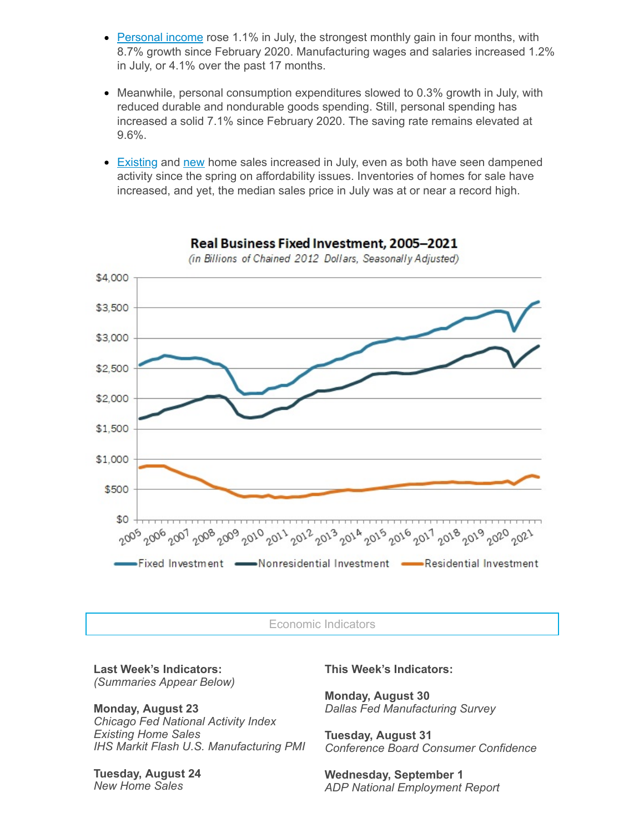- [Personal](https://click.email.nam.org/?qs=e6902ec692c82c4a13ad76f8fe10a47936f59b3cc8867544bd7660a413d8491caaa1fff73f2faa9add54a9e0ee87b6a920c45d2045dee04f) income rose 1.1% in July, the strongest monthly gain in four months, with 8.7% growth since February 2020. Manufacturing wages and salaries increased 1.2% in July, or 4.1% over the past 17 months.
- Meanwhile, personal consumption expenditures slowed to 0.3% growth in July, with reduced durable and nondurable goods spending. Still, personal spending has increased a solid 7.1% since February 2020. The saving rate remains elevated at 9.6%.
- **[Existing](https://click.email.nam.org/?qs=e6902ec692c82c4ad21539f5cf3ab0cff319cf0a486da93a9dd860d97d3a2125ae929330317213bafa139462525fe84396652f198b6525ea) and [new](https://click.email.nam.org/?qs=e6902ec692c82c4a9d30ea5edd53693383102e5cb1368d8d8573007118ab127fc56b4975a7f0c87d7005d5ae3d67a1efcdb05bf6df99ffe0) home sales increased in July, even as both have seen dampened** activity since the spring on affordability issues. Inventories of homes for sale have increased, and yet, the median sales price in July was at or near a record high.



Real Business Fixed Investment, 2005-2021 (in Billions of Chained 2012 Dollars, Seasonally Adjusted)

Economic Indicators

**Last Week's Indicators:** *(Summaries Appear Below)*

**Monday, August 23** *Chicago Fed National Activity Index Existing Home Sales IHS Markit Flash U.S. Manufacturing PMI*

**Tuesday, August 24** *New Home Sales*

**This Week's Indicators:**

**Monday, August 30** *Dallas Fed Manufacturing Survey*

**Tuesday, August 31** *Conference Board Consumer Confidence*

**Wednesday, September 1** *ADP National Employment Report*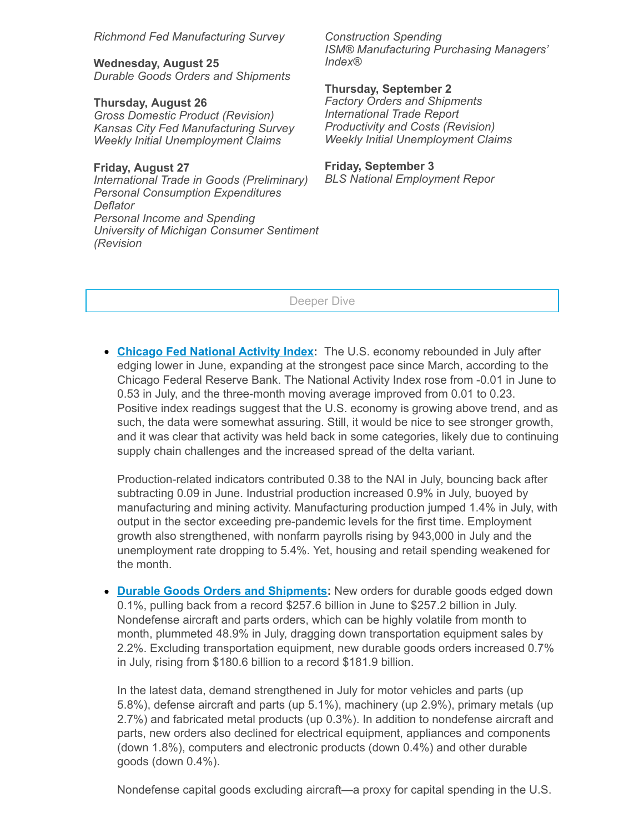*Richmond Fed Manufacturing Survey*

**Wednesday, August 25** *Durable Goods Orders and Shipments*

**Thursday, August 26** *Gross Domestic Product (Revision) Kansas City Fed Manufacturing Survey Weekly Initial Unemployment Claims*

**Friday, August 27** *International Trade in Goods (Preliminary) Personal Consumption Expenditures Deflator Personal Income and Spending University of Michigan Consumer Sentiment (Revision*

*Construction Spending ISM® Manufacturing Purchasing Managers' Index®*

**Thursday, September 2**

*Factory Orders and Shipments International Trade Report Productivity and Costs (Revision) Weekly Initial Unemployment Claims*

## **Friday, September 3**

*BLS National Employment Repor*

Deeper Dive

**Chicago Fed [National](https://click.email.nam.org/?qs=e6902ec692c82c4ae27afcdddf0f7cce1475a24d0e4bdf06d79503fd4631c7ac06da487f6d6edbe47b37face9d93c3d49500d5cec44b0212) Activity Index:** The U.S. economy rebounded in July after edging lower in June, expanding at the strongest pace since March, according to the Chicago Federal Reserve Bank. The National Activity Index rose from -0.01 in June to 0.53 in July, and the three-month moving average improved from 0.01 to 0.23. Positive index readings suggest that the U.S. economy is growing above trend, and as such, the data were somewhat assuring. Still, it would be nice to see stronger growth, and it was clear that activity was held back in some categories, likely due to continuing supply chain challenges and the increased spread of the delta variant.

Production-related indicators contributed 0.38 to the NAI in July, bouncing back after subtracting 0.09 in June. Industrial production increased 0.9% in July, buoyed by manufacturing and mining activity. Manufacturing production jumped 1.4% in July, with output in the sector exceeding pre-pandemic levels for the first time. Employment growth also strengthened, with nonfarm payrolls rising by 943,000 in July and the unemployment rate dropping to 5.4%. Yet, housing and retail spending weakened for the month.

**Durable Goods Orders and [Shipments](https://click.email.nam.org/?qs=e6902ec692c82c4a34472ee6d4f95462683665b2045fd145dc6c5e43e02c2c42b511af207ea3c4cbbc26b97bec1bd611f9091235db1aac68):** New orders for durable goods edged down 0.1%, pulling back from a record \$257.6 billion in June to \$257.2 billion in July. Nondefense aircraft and parts orders, which can be highly volatile from month to month, plummeted 48.9% in July, dragging down transportation equipment sales by 2.2%. Excluding transportation equipment, new durable goods orders increased 0.7% in July, rising from \$180.6 billion to a record \$181.9 billion.

In the latest data, demand strengthened in July for motor vehicles and parts (up 5.8%), defense aircraft and parts (up 5.1%), machinery (up 2.9%), primary metals (up 2.7%) and fabricated metal products (up 0.3%). In addition to nondefense aircraft and parts, new orders also declined for electrical equipment, appliances and components (down 1.8%), computers and electronic products (down 0.4%) and other durable goods (down 0.4%).

Nondefense capital goods excluding aircraft—a proxy for capital spending in the U.S.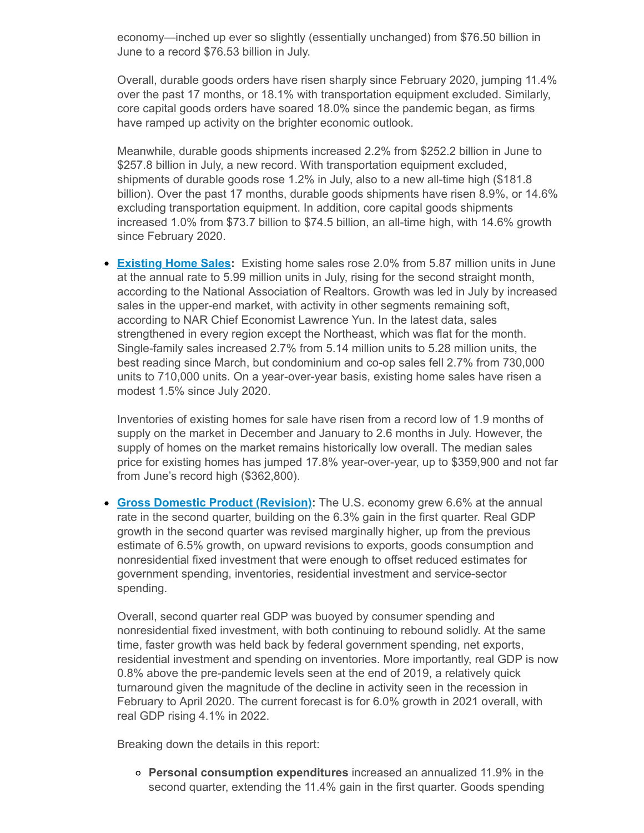economy—inched up ever so slightly (essentially unchanged) from \$76.50 billion in June to a record \$76.53 billion in July.

Overall, durable goods orders have risen sharply since February 2020, jumping 11.4% over the past 17 months, or 18.1% with transportation equipment excluded. Similarly, core capital goods orders have soared 18.0% since the pandemic began, as firms have ramped up activity on the brighter economic outlook.

Meanwhile, durable goods shipments increased 2.2% from \$252.2 billion in June to \$257.8 billion in July, a new record. With transportation equipment excluded, shipments of durable goods rose 1.2% in July, also to a new all-time high (\$181.8 billion). Over the past 17 months, durable goods shipments have risen 8.9%, or 14.6% excluding transportation equipment. In addition, core capital goods shipments increased 1.0% from \$73.7 billion to \$74.5 billion, an all-time high, with 14.6% growth since February 2020.

**[Existing](https://click.email.nam.org/?qs=e6902ec692c82c4ad21539f5cf3ab0cff319cf0a486da93a9dd860d97d3a2125ae929330317213bafa139462525fe84396652f198b6525ea) Home Sales:** Existing home sales rose 2.0% from 5.87 million units in June at the annual rate to 5.99 million units in July, rising for the second straight month, according to the National Association of Realtors. Growth was led in July by increased sales in the upper-end market, with activity in other segments remaining soft, according to NAR Chief Economist Lawrence Yun. In the latest data, sales strengthened in every region except the Northeast, which was flat for the month. Single-family sales increased 2.7% from 5.14 million units to 5.28 million units, the best reading since March, but condominium and co-op sales fell 2.7% from 730,000 units to 710,000 units. On a year-over-year basis, existing home sales have risen a modest 1.5% since July 2020.

Inventories of existing homes for sale have risen from a record low of 1.9 months of supply on the market in December and January to 2.6 months in July. However, the supply of homes on the market remains historically low overall. The median sales price for existing homes has jumped 17.8% year-over-year, up to \$359,900 and not far from June's record high (\$362,800).

**Gross Domestic Product [\(Revision\):](https://click.email.nam.org/?qs=e6902ec692c82c4ab2af8428a8d720ba444a18c276c67fc00e875642c7dc7c20b7316fa810735e5142629cec4b6613ab8808a563c0ee957d)** The U.S. economy grew 6.6% at the annual rate in the second quarter, building on the 6.3% gain in the first quarter. Real GDP growth in the second quarter was revised marginally higher, up from the previous estimate of 6.5% growth, on upward revisions to exports, goods consumption and nonresidential fixed investment that were enough to offset reduced estimates for government spending, inventories, residential investment and service-sector spending.

Overall, second quarter real GDP was buoyed by consumer spending and nonresidential fixed investment, with both continuing to rebound solidly. At the same time, faster growth was held back by federal government spending, net exports, residential investment and spending on inventories. More importantly, real GDP is now 0.8% above the pre-pandemic levels seen at the end of 2019, a relatively quick turnaround given the magnitude of the decline in activity seen in the recession in February to April 2020. The current forecast is for 6.0% growth in 2021 overall, with real GDP rising 4.1% in 2022.

Breaking down the details in this report:

**Personal consumption expenditures** increased an annualized 11.9% in the second quarter, extending the 11.4% gain in the first quarter. Goods spending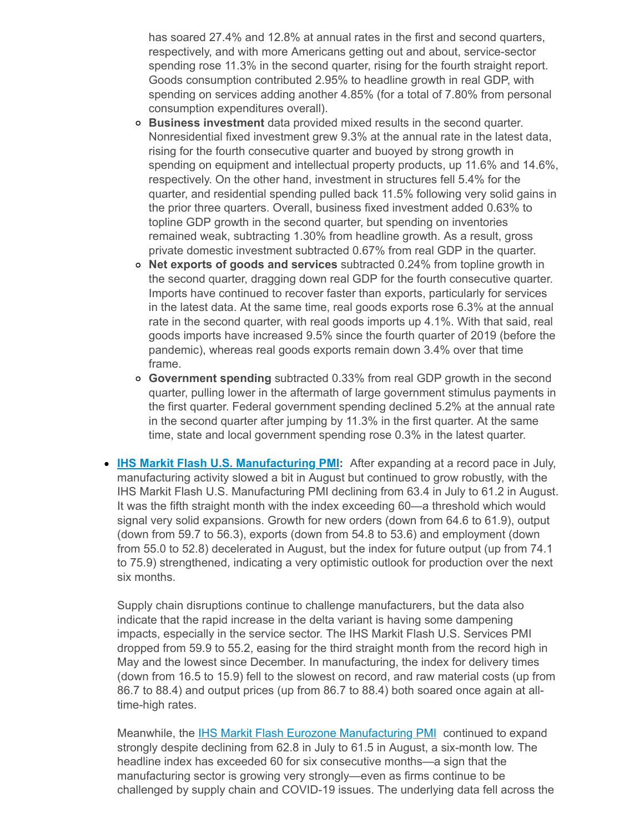has soared 27.4% and 12.8% at annual rates in the first and second quarters, respectively, and with more Americans getting out and about, service-sector spending rose 11.3% in the second quarter, rising for the fourth straight report. Goods consumption contributed 2.95% to headline growth in real GDP, with spending on services adding another 4.85% (for a total of 7.80% from personal consumption expenditures overall).

- **Business investment** data provided mixed results in the second quarter. Nonresidential fixed investment grew 9.3% at the annual rate in the latest data, rising for the fourth consecutive quarter and buoyed by strong growth in spending on equipment and intellectual property products, up 11.6% and 14.6%, respectively. On the other hand, investment in structures fell 5.4% for the quarter, and residential spending pulled back 11.5% following very solid gains in the prior three quarters. Overall, business fixed investment added 0.63% to topline GDP growth in the second quarter, but spending on inventories remained weak, subtracting 1.30% from headline growth. As a result, gross private domestic investment subtracted 0.67% from real GDP in the quarter.
- **Net exports of goods and services** subtracted 0.24% from topline growth in the second quarter, dragging down real GDP for the fourth consecutive quarter. Imports have continued to recover faster than exports, particularly for services in the latest data. At the same time, real goods exports rose 6.3% at the annual rate in the second quarter, with real goods imports up 4.1%. With that said, real goods imports have increased 9.5% since the fourth quarter of 2019 (before the pandemic), whereas real goods exports remain down 3.4% over that time frame.
- **Government spending** subtracted 0.33% from real GDP growth in the second quarter, pulling lower in the aftermath of large government stimulus payments in the first quarter. Federal government spending declined 5.2% at the annual rate in the second quarter after jumping by 11.3% in the first quarter. At the same time, state and local government spending rose 0.3% in the latest quarter.
- **IHS Markit Flash U.S. [Manufacturing](https://click.email.nam.org/?qs=e6902ec692c82c4a00f922e79ddd51f74dbc82ee8e909f2afdda91e848b83c4b21d312e74e70a1f4271342d3f05c6a80deec6bd93697193b) PMI:** After expanding at a record pace in July, manufacturing activity slowed a bit in August but continued to grow robustly, with the IHS Markit Flash U.S. Manufacturing PMI declining from 63.4 in July to 61.2 in August. It was the fifth straight month with the index exceeding 60—a threshold which would signal very solid expansions. Growth for new orders (down from 64.6 to 61.9), output (down from 59.7 to 56.3), exports (down from 54.8 to 53.6) and employment (down from 55.0 to 52.8) decelerated in August, but the index for future output (up from 74.1 to 75.9) strengthened, indicating a very optimistic outlook for production over the next six months.

Supply chain disruptions continue to challenge manufacturers, but the data also indicate that the rapid increase in the delta variant is having some dampening impacts, especially in the service sector. The IHS Markit Flash U.S. Services PMI dropped from 59.9 to 55.2, easing for the third straight month from the record high in May and the lowest since December. In manufacturing, the index for delivery times (down from 16.5 to 15.9) fell to the slowest on record, and raw material costs (up from 86.7 to 88.4) and output prices (up from 86.7 to 88.4) both soared once again at alltime-high rates.

Meanwhile, the **IHS Markit Flash Eurozone [Manufacturing](https://click.email.nam.org/?qs=e6902ec692c82c4a9e97444649717e24fdc970a3e95216ef595d9fa792b5da6cba6bddd2bfe3268ce92b67f37d54b81ff009b4e4ccbee965) PMI** continued to expand strongly despite declining from 62.8 in July to 61.5 in August, a six-month low. The headline index has exceeded 60 for six consecutive months—a sign that the manufacturing sector is growing very strongly—even as firms continue to be challenged by supply chain and COVID-19 issues. The underlying data fell across the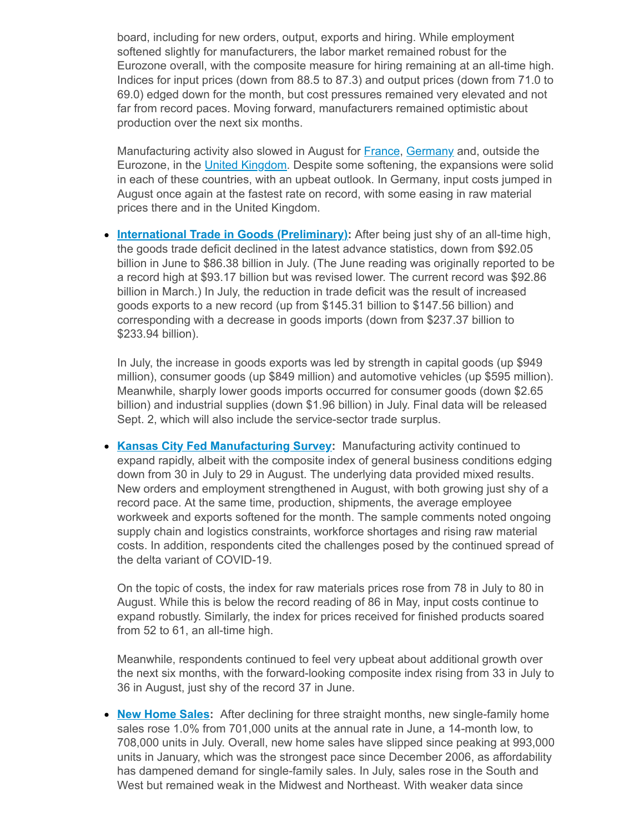board, including for new orders, output, exports and hiring. While employment softened slightly for manufacturers, the labor market remained robust for the Eurozone overall, with the composite measure for hiring remaining at an all-time high. Indices for input prices (down from 88.5 to 87.3) and output prices (down from 71.0 to 69.0) edged down for the month, but cost pressures remained very elevated and not far from record paces. Moving forward, manufacturers remained optimistic about production over the next six months.

Manufacturing activity also slowed in August for **France**, [Germany](https://click.email.nam.org/?qs=e6902ec692c82c4a8972abf834eb8fa173ac013823a9128145b6c67ef2dd24f5484d285671f986c45b4c6a8a2e46d201456ecb1766e3832a) and, outside the Eurozone, in the United [Kingdom.](https://click.email.nam.org/?qs=e6902ec692c82c4a08acd0ed8299543299c1ab6a0f06dbb5086fe2b83aa7a971301f9a4afb18e8c714f50f084be968be042f237b26ed73cc) Despite some softening, the expansions were solid in each of these countries, with an upbeat outlook. In Germany, input costs jumped in August once again at the fastest rate on record, with some easing in raw material prices there and in the United Kingdom.

**International Trade in Goods [\(Preliminary\):](https://click.email.nam.org/?qs=e6902ec692c82c4af4d25ebc7879ace7898a6cb16bd1cd2bb818c2f1ae13ad262f84ab037c1c8403a038a5c4d706b6b618f6bdd5d198c0ec)** After being just shy of an all-time high, the goods trade deficit declined in the latest advance statistics, down from \$92.05 billion in June to \$86.38 billion in July. (The June reading was originally reported to be a record high at \$93.17 billion but was revised lower. The current record was \$92.86 billion in March.) In July, the reduction in trade deficit was the result of increased goods exports to a new record (up from \$145.31 billion to \$147.56 billion) and corresponding with a decrease in goods imports (down from \$237.37 billion to \$233.94 billion).

In July, the increase in goods exports was led by strength in capital goods (up \$949 million), consumer goods (up \$849 million) and automotive vehicles (up \$595 million). Meanwhile, sharply lower goods imports occurred for consumer goods (down \$2.65 billion) and industrial supplies (down \$1.96 billion) in July. Final data will be released Sept. 2, which will also include the service-sector trade surplus.

**Kansas City Fed [Manufacturing](https://click.email.nam.org/?qs=e6902ec692c82c4aa154e5a152d7494c2c3c9b3ce41d1320758b1578440f1a949893e3578966ad60c2d85d76dce13222ac51c7ff1d57aca6) Survey:** Manufacturing activity continued to expand rapidly, albeit with the composite index of general business conditions edging down from 30 in July to 29 in August. The underlying data provided mixed results. New orders and employment strengthened in August, with both growing just shy of a record pace. At the same time, production, shipments, the average employee workweek and exports softened for the month. The sample comments noted ongoing supply chain and logistics constraints, workforce shortages and rising raw material costs. In addition, respondents cited the challenges posed by the continued spread of the delta variant of COVID-19.

On the topic of costs, the index for raw materials prices rose from 78 in July to 80 in August. While this is below the record reading of 86 in May, input costs continue to expand robustly. Similarly, the index for prices received for finished products soared from 52 to 61, an all-time high.

Meanwhile, respondents continued to feel very upbeat about additional growth over the next six months, with the forward-looking composite index rising from 33 in July to 36 in August, just shy of the record 37 in June.

**New [Home](https://click.email.nam.org/?qs=e6902ec692c82c4a9d30ea5edd53693383102e5cb1368d8d8573007118ab127fc56b4975a7f0c87d7005d5ae3d67a1efcdb05bf6df99ffe0) Sales:** After declining for three straight months, new single-family home sales rose 1.0% from 701,000 units at the annual rate in June, a 14-month low, to 708,000 units in July. Overall, new home sales have slipped since peaking at 993,000 units in January, which was the strongest pace since December 2006, as affordability has dampened demand for single-family sales. In July, sales rose in the South and West but remained weak in the Midwest and Northeast. With weaker data since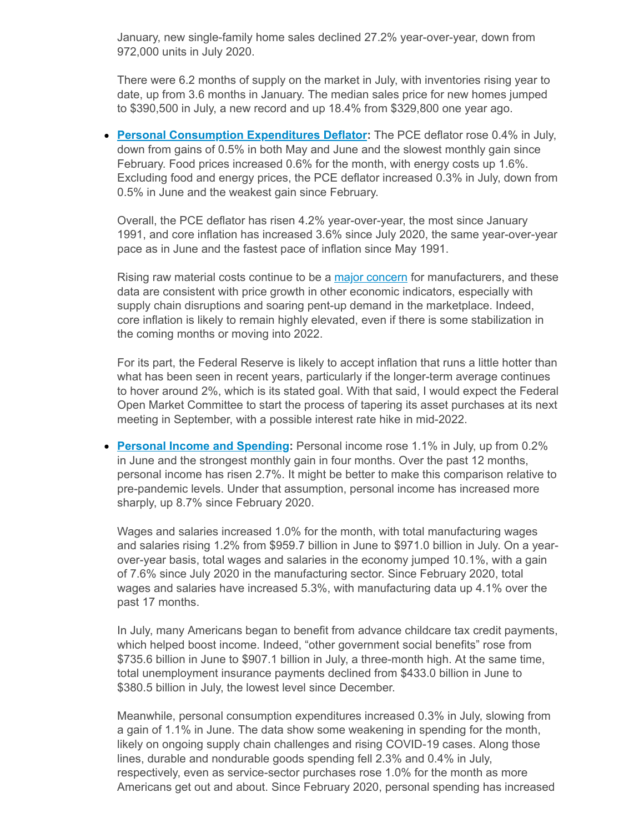January, new single-family home sales declined 27.2% year-over-year, down from 972,000 units in July 2020.

There were 6.2 months of supply on the market in July, with inventories rising year to date, up from 3.6 months in January. The median sales price for new homes jumped to \$390,500 in July, a new record and up 18.4% from \$329,800 one year ago.

**Personal [Consumption](https://click.email.nam.org/?qs=e6902ec692c82c4a13ad76f8fe10a47936f59b3cc8867544bd7660a413d8491caaa1fff73f2faa9add54a9e0ee87b6a920c45d2045dee04f) Expenditures Deflator:** The PCE deflator rose 0.4% in July, down from gains of 0.5% in both May and June and the slowest monthly gain since February. Food prices increased 0.6% for the month, with energy costs up 1.6%. Excluding food and energy prices, the PCE deflator increased 0.3% in July, down from 0.5% in June and the weakest gain since February.

Overall, the PCE deflator has risen 4.2% year-over-year, the most since January 1991, and core inflation has increased 3.6% since July 2020, the same year-over-year pace as in June and the fastest pace of inflation since May 1991.

Rising raw material costs continue to be a major [concern](https://click.email.nam.org/?qs=e6902ec692c82c4ade52808f307ba7f58db43a543345824dcb68c14563aa12405a4470cddc0fac67c860edb68eda7f02935f0249429c3374) for manufacturers, and these data are consistent with price growth in other economic indicators, especially with supply chain disruptions and soaring pent-up demand in the marketplace. Indeed, core inflation is likely to remain highly elevated, even if there is some stabilization in the coming months or moving into 2022.

For its part, the Federal Reserve is likely to accept inflation that runs a little hotter than what has been seen in recent years, particularly if the longer-term average continues to hover around 2%, which is its stated goal. With that said, I would expect the Federal Open Market Committee to start the process of tapering its asset purchases at its next meeting in September, with a possible interest rate hike in mid-2022.

**Personal Income and [Spending](https://click.email.nam.org/?qs=e6902ec692c82c4a13ad76f8fe10a47936f59b3cc8867544bd7660a413d8491caaa1fff73f2faa9add54a9e0ee87b6a920c45d2045dee04f):** Personal income rose 1.1% in July, up from 0.2% in June and the strongest monthly gain in four months. Over the past 12 months, personal income has risen 2.7%. It might be better to make this comparison relative to pre-pandemic levels. Under that assumption, personal income has increased more sharply, up 8.7% since February 2020.

Wages and salaries increased 1.0% for the month, with total manufacturing wages and salaries rising 1.2% from \$959.7 billion in June to \$971.0 billion in July. On a yearover-year basis, total wages and salaries in the economy jumped 10.1%, with a gain of 7.6% since July 2020 in the manufacturing sector. Since February 2020, total wages and salaries have increased 5.3%, with manufacturing data up 4.1% over the past 17 months.

In July, many Americans began to benefit from advance childcare tax credit payments, which helped boost income. Indeed, "other government social benefits" rose from \$735.6 billion in June to \$907.1 billion in July, a three-month high. At the same time, total unemployment insurance payments declined from \$433.0 billion in June to \$380.5 billion in July, the lowest level since December.

Meanwhile, personal consumption expenditures increased 0.3% in July, slowing from a gain of 1.1% in June. The data show some weakening in spending for the month, likely on ongoing supply chain challenges and rising COVID-19 cases. Along those lines, durable and nondurable goods spending fell 2.3% and 0.4% in July, respectively, even as service-sector purchases rose 1.0% for the month as more Americans get out and about. Since February 2020, personal spending has increased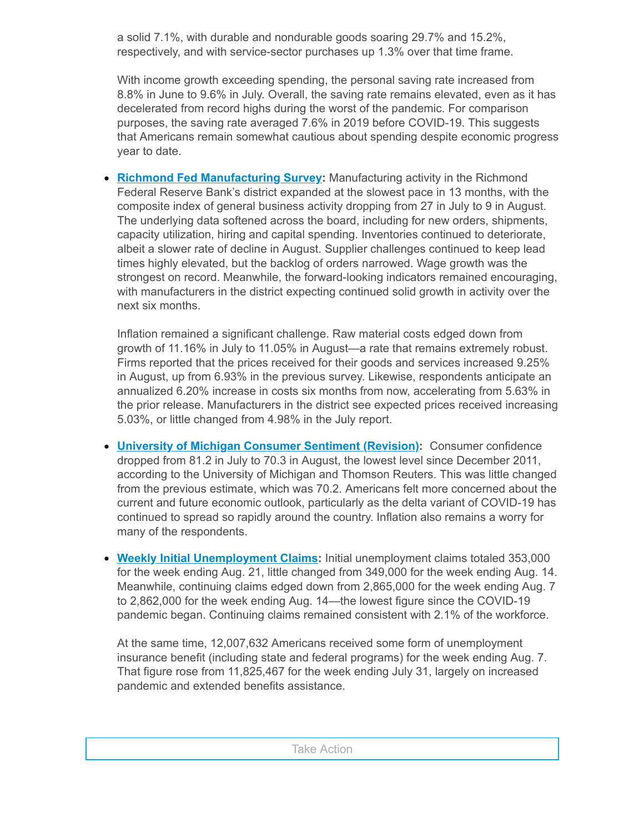a solid 7.1%, with durable and nondurable goods soaring 29.7% and 15.2%, respectively, and with service-sector purchases up 1.3% over that time frame.

With income growth exceeding spending, the personal saving rate increased from 8.8% in June to 9.6% in July. Overall, the saving rate remains elevated, even as it has decelerated from record highs during the worst of the pandemic. For comparison purposes, the saving rate averaged 7.6% in 2019 before COVID-19. This suggests that Americans remain somewhat cautious about spending despite economic progress year to date.

**Richmond Fed [Manufacturing](https://click.email.nam.org/?qs=e6902ec692c82c4abe15b1400d24477f0bc07d353d4d613723334445178c786207937d17ec664fe8d295cccabe3e9922084d88535ea04633) Survey:** Manufacturing activity in the Richmond Federal Reserve Bank's district expanded at the slowest pace in 13 months, with the composite index of general business activity dropping from 27 in July to 9 in August. The underlying data softened across the board, including for new orders, shipments, capacity utilization, hiring and capital spending. Inventories continued to deteriorate, albeit a slower rate of decline in August. Supplier challenges continued to keep lead times highly elevated, but the backlog of orders narrowed. Wage growth was the strongest on record. Meanwhile, the forward-looking indicators remained encouraging, with manufacturers in the district expecting continued solid growth in activity over the next six months.

Inflation remained a significant challenge. Raw material costs edged down from growth of 11.16% in July to 11.05% in August—a rate that remains extremely robust. Firms reported that the prices received for their goods and services increased 9.25% in August, up from 6.93% in the previous survey. Likewise, respondents anticipate an annualized 6.20% increase in costs six months from now, accelerating from 5.63% in the prior release. Manufacturers in the district see expected prices received increasing 5.03%, or little changed from 4.98% in the July report.

- **University of Michigan [Consumer](https://click.email.nam.org/?qs=e6902ec692c82c4a16dc42dbbaa0687eb49d5de7107ad66f5fa48f9bbbe2e6ea80c9b31ec0b48bbe86ad8f80e851bdf3360276c462c6021d) Sentiment (Revision):** Consumer confidence dropped from 81.2 in July to 70.3 in August, the lowest level since December 2011, according to the University of Michigan and Thomson Reuters. This was little changed from the previous estimate, which was 70.2. Americans felt more concerned about the current and future economic outlook, particularly as the delta variant of COVID-19 has continued to spread so rapidly around the country. Inflation also remains a worry for many of the respondents.
- **Weekly Initial [Unemployment](https://click.email.nam.org/?qs=e6902ec692c82c4ae8d039358585599914cfa4291a98aac935d209e29267d4cd079b2196db40df1d103a45358dfd01a55deac294cbaec069) Claims:** Initial unemployment claims totaled 353,000 for the week ending Aug. 21, little changed from 349,000 for the week ending Aug. 14. Meanwhile, continuing claims edged down from 2,865,000 for the week ending Aug. 7 to 2,862,000 for the week ending Aug. 14—the lowest figure since the COVID-19 pandemic began. Continuing claims remained consistent with 2.1% of the workforce.

At the same time, 12,007,632 Americans received some form of unemployment insurance benefit (including state and federal programs) for the week ending Aug. 7. That figure rose from 11,825,467 for the week ending July 31, largely on increased pandemic and extended benefits assistance.